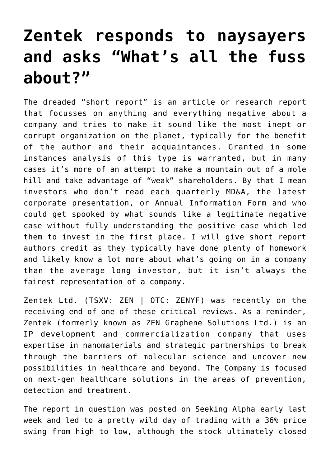## **[Zentek responds to naysayers](https://investorintel.com/market-analysis/market-analysis-intel/zentek-responds-to-naysayers-and-asks-whats-all-the-fuss-about/) [and asks "What's all the fuss](https://investorintel.com/market-analysis/market-analysis-intel/zentek-responds-to-naysayers-and-asks-whats-all-the-fuss-about/) [about?"](https://investorintel.com/market-analysis/market-analysis-intel/zentek-responds-to-naysayers-and-asks-whats-all-the-fuss-about/)**

The dreaded "short report" is an article or research report that focusses on anything and everything negative about a company and tries to make it sound like the most inept or corrupt organization on the planet, typically for the benefit of the author and their acquaintances. Granted in some instances analysis of this type is warranted, but in many cases it's more of an attempt to make a mountain out of a mole hill and take advantage of "weak" shareholders. By that I mean investors who don't read each quarterly MD&A, the latest corporate presentation, or Annual Information Form and who could get spooked by what sounds like a legitimate negative case without fully understanding the positive case which led them to invest in the first place. I will give short report authors credit as they typically have done plenty of homework and likely know a lot more about what's going on in a company than the average long investor, but it isn't always the fairest representation of a company.

[Zentek Ltd.](https://www.zentek.com/) (TSXV: ZEN | OTC: ZENYF) was recently on the receiving end of one of these critical reviews. As a reminder, Zentek (formerly known as ZEN Graphene Solutions Ltd.) is an IP development and commercialization company that uses expertise in nanomaterials and strategic partnerships to break through the barriers of molecular science and uncover new possibilities in healthcare and beyond. The Company is focused on next-gen healthcare solutions in the areas of prevention, detection and treatment.

[The report](https://seekingalpha.com/article/4493436-zentek-late-stage-bubble-misjudged-demand-alleged-ip-theft) in question was posted on Seeking Alpha early last week and led to a pretty wild day of trading with a 36% price swing from high to low, although the stock ultimately closed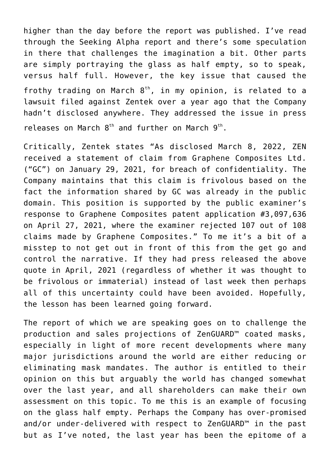higher than the day before the report was published. I've read through the Seeking Alpha report and there's some speculation in there that challenges the imagination a bit. Other parts are simply portraying the glass as half empty, so to speak, versus half full. However, the key issue that caused the frothy trading on March  $8<sup>th</sup>$ , in my opinion, is related to a lawsuit filed against Zentek over a year ago that the Company hadn't disclosed anywhere. They addressed the issue in press releases on March  $8<sup>th</sup>$  $8<sup>th</sup>$  $8<sup>th</sup>$  and further on March  $9<sup>th</sup>$ .

Critically, Zentek states "As disclosed March 8, 2022, ZEN received a statement of claim from Graphene Composites Ltd. ("GC") on January 29, 2021, for breach of confidentiality. The Company maintains that this claim is frivolous based on the fact the information shared by GC was already in the public domain. This position is supported by the public examiner's response to Graphene Composites patent application #3,097,636 on April 27, 2021, where the examiner rejected 107 out of 108 claims made by Graphene Composites." To me it's a bit of a misstep to not get out in front of this from the get go and control the narrative. If they had press released the above quote in April, 2021 (regardless of whether it was thought to be frivolous or immaterial) instead of last week then perhaps all of this uncertainty could have been avoided. Hopefully, the lesson has been learned going forward.

The report of which we are speaking goes on to challenge the production and sales projections of ZenGUARD™ coated masks, especially in light of more recent developments where many major jurisdictions around the world are either reducing or eliminating mask mandates. The author is entitled to their opinion on this but arguably the world has changed somewhat over the last year, and all shareholders can make their own assessment on this topic. To me this is an example of focusing on the glass half empty. Perhaps the Company has over-promised and/or under-delivered with respect to ZenGUARD™ in the past but as I've noted, the last year has been the epitome of a